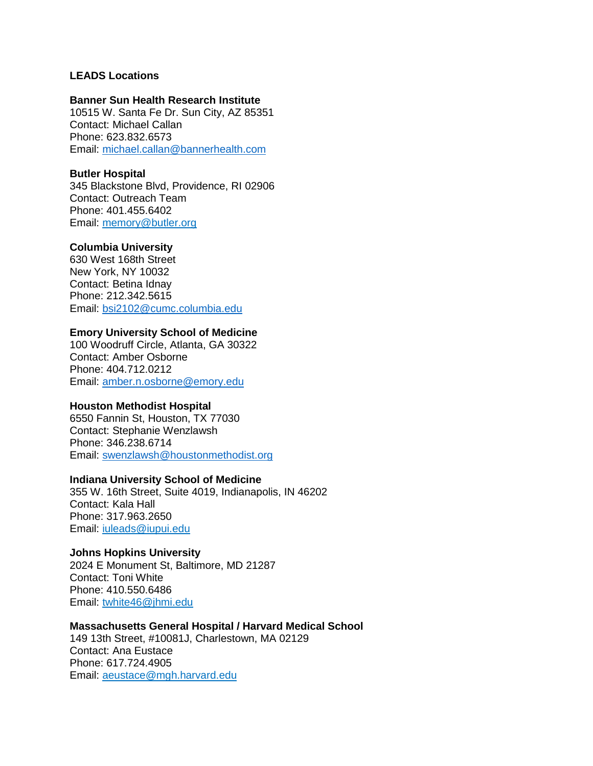# **LEADS Locations**

#### **Banner Sun Health Research Institute**

10515 W. Santa Fe Dr. Sun City, AZ 85351 Contact: Michael Callan Phone: 623.832.6573 Email: [michael.callan@bannerhealth.com](mailto:michael.callan@bannerhealth.com)

# **Butler Hospital**

345 Blackstone Blvd, Providence, RI 02906 Contact: Outreach Team Phone: 401.455.6402 Email: [memory@butler.org](mailto:memory@butler.org)

### **Columbia University**

630 West 168th Street New York, NY 10032 Contact: Betina Idnay Phone: 212.342.5615 Email: [bsi2102@cumc.columbia.edu](mailto:bsi2102@cumc.columbia.edu)

# **Emory University School of Medicine**

100 Woodruff Circle, Atlanta, GA 30322 Contact: Amber Osborne Phone: 404.712.0212 Email: [amber.n.osborne@emory.edu](mailto:amber.n.osborne@emory.edu)

### **Houston Methodist Hospital**

6550 Fannin St, Houston, TX 77030 Contact: Stephanie Wenzlawsh Phone: 346.238.6714 Email: [swenzlawsh@houstonmethodist.org](mailto:swenzlawsh@houstonmethodist.org) 

### **Indiana University School of Medicine**

355 W. 16th Street, Suite 4019, Indianapolis, IN 46202 Contact: Kala Hall Phone: 317.963.2650 Email: [iuleads@iupui.edu](mailto:iuleads@iupui.edu)

### **Johns Hopkins University**

2024 E Monument St, Baltimore, MD 21287 Contact: Toni White Phone: 410.550.6486 Email: [twhite46@jhmi.edu](mailto:twhite46@jhmi.edu)

### **Massachusetts General Hospital / Harvard Medical School**

149 13th Street, #10081J, Charlestown, MA 02129 Contact: Ana Eustace Phone: 617.724.4905 Email: [aeustace@mgh.harvard.edu](mailto:aeustace@mgh.harvard.edu)